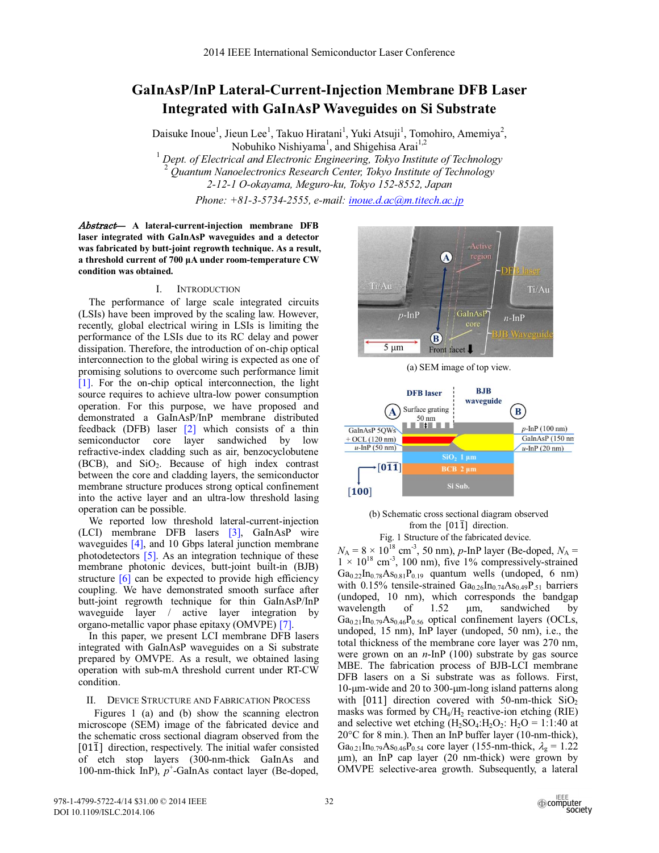# **GaInAsP/InP Lateral-Current-Injection Membrane DFB Laser Integrated with GaInAsP Waveguides on Si Substrate**

Daisuke Inoue<sup>1</sup>, Jieun Lee<sup>1</sup>, Takuo Hiratani<sup>1</sup>, Yuki Atsuji<sup>1</sup>, Tomohiro, Amemiya<sup>2</sup>, Nobuhiko Nishiyama<sup>1</sup>, and Shigehisa Arai<sup>1,2</sup>

<sup>1</sup> Dept. of Electrical and Electronic Engineering, Tokyo Institute of Technology<br><sup>2</sup> Quantum Nanoelectronics Research Center, Tokyo Institute of Technology *2-12-1 O-okayama, Meguro-ku, Tokyo 152-8552, Japan*

*Phone: +81-3-5734-2555, e-mail: inoue.d.ac@m.titech.ac.jp*

Abstract— **A lateral-current-injection membrane DFB laser integrated with GaInAsP waveguides and a detector was fabricated by butt-joint regrowth technique. As a result, a threshold current of 700 μA under room-temperature CW condition was obtained.**

#### I. INTRODUCTION

The performance of large scale integrated circuits (LSIs) have been improved by the scaling law. However, recently, global electrical wiring in LSIs is limiting the performance of the LSIs due to its RC delay and power dissipation. Therefore, the introduction of on-chip optical interconnection to the global wiring is expected as one of promising solutions to overcome such performance limit [1]. For the on-chip optical interconnection, the light source requires to achieve ultra-low power consumption operation. For this purpose, we have proposed and demonstrated a GaInAsP/InP membrane distributed feedback (DFB) laser [2] which consists of a thin semiconductor core layer sandwiched by low refractive-index cladding such as air, benzocyclobutene  $(BCB)$ , and  $SiO<sub>2</sub>$ . Because of high index contrast between the core and cladding layers, the semiconductor membrane structure produces strong optical confinement into the active layer and an ultra-low threshold lasing operation can be possible.

We reported low threshold lateral-current-injection (LCI) membrane DFB lasers [3], GaInAsP wire waveguides [4], and 10 Gbps lateral junction membrane photodetectors [5]. As an integration technique of these membrane photonic devices, butt-joint built-in (BJB) structure [6] can be expected to provide high efficiency coupling. We have demonstrated smooth surface after butt-joint regrowth technique for thin GaInAsP/InP waveguide layer / active layer integration by organo-metallic vapor phase epitaxy (OMVPE) [7].

In this paper, we present LCI membrane DFB lasers integrated with GaInAsP waveguides on a Si substrate prepared by OMVPE. As a result, we obtained lasing operation with sub-mA threshold current under RT-CW condition.

# II. DEVICE STRUCTURE AND FABRICATION PROCESS

Figures 1 (a) and (b) show the scanning electron microscope (SEM) image of the fabricated device and the schematic cross sectional diagram observed from the  $[01\bar{1}]$  direction, respectively. The initial wafer consisted of etch stop layers (300-nm-thick GaInAs and 100-nm-thick  $\overline{InP}$ ),  $p^+$ -GaInAs contact layer (Be-doped,



(a) SEM image of top view.



## (b) Schematic cross sectional diagram observed from the  $[01\bar{1}]$  direction. Fig. 1 Structure of the fabricated device.

 $N_A = 8 \times 10^{18}$  cm<sup>-3</sup>, 50 nm), *p*-InP layer (Be-doped,  $N_A =$  $1 \times 10^{18}$  cm<sup>-3</sup>, 100 nm), five 1% compressively-strained  $Ga_{0.22}$ In<sub>0.78</sub>As<sub>0.81</sub>P<sub>0.19</sub> quantum wells (undoped, 6 nm) with 0.15% tensile-strained  $Ga_{0.26}In_{0.74}As_{0.49}P_{.51}$  barriers (undoped, 10 nm), which corresponds the bandgap wavelength of 1.52 μm, sandwiched by  $Ga_{0.21}$ In<sub>0.79</sub>As<sub>0.46</sub>P<sub>0.56</sub> optical confinement layers (OCLs, undoped, 15 nm), InP layer (undoped, 50 nm), i.e., the total thickness of the membrane core layer was 270 nm, were grown on an *n*-InP (100) substrate by gas source MBE. The fabrication process of BJB-LCI membrane DFB lasers on a Si substrate was as follows. First, 10-μm-wide and 20 to 300-μm-long island patterns along with  $[011]$  direction covered with 50-nm-thick SiO<sub>2</sub> masks was formed by  $CH_4/H_2$  reactive-ion etching (RIE) and selective wet etching  $(H_2SO_4:H_2O_2; H_2O = 1:1:40$  at 20°C for 8 min.). Then an InP buffer layer (10-nm-thick),  $Ga_{0.21}$ In<sub>0.79</sub>As<sub>0.46</sub>P<sub>0.54</sub> core layer (155-nm-thick,  $\lambda_{g} = 1.22$ ) μm), an InP cap layer (20 nm-thick) were grown by OMVPE selective-area growth. Subsequently, a lateral